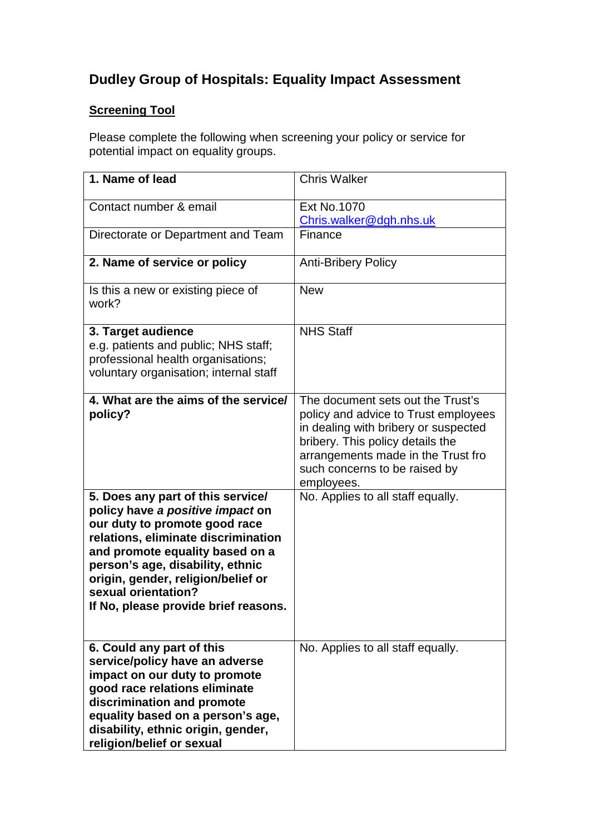# **Dudley Group of Hospitals: Equality Impact Assessment**

## **Screening Tool**

Please complete the following when screening your policy or service for potential impact on equality groups.

| 1. Name of lead                                                                                                                                                                                                                                                                                                           | <b>Chris Walker</b>                                                                                                                                                                                                                        |
|---------------------------------------------------------------------------------------------------------------------------------------------------------------------------------------------------------------------------------------------------------------------------------------------------------------------------|--------------------------------------------------------------------------------------------------------------------------------------------------------------------------------------------------------------------------------------------|
| Contact number & email                                                                                                                                                                                                                                                                                                    | <b>Ext No.1070</b><br>Chris.walker@dgh.nhs.uk                                                                                                                                                                                              |
| Directorate or Department and Team                                                                                                                                                                                                                                                                                        | Finance                                                                                                                                                                                                                                    |
| 2. Name of service or policy                                                                                                                                                                                                                                                                                              | <b>Anti-Bribery Policy</b>                                                                                                                                                                                                                 |
| Is this a new or existing piece of<br>work?                                                                                                                                                                                                                                                                               | <b>New</b>                                                                                                                                                                                                                                 |
| 3. Target audience<br>e.g. patients and public; NHS staff;<br>professional health organisations;<br>voluntary organisation; internal staff                                                                                                                                                                                | <b>NHS Staff</b>                                                                                                                                                                                                                           |
| 4. What are the aims of the service/<br>policy?                                                                                                                                                                                                                                                                           | The document sets out the Trust's<br>policy and advice to Trust employees<br>in dealing with bribery or suspected<br>bribery. This policy details the<br>arrangements made in the Trust fro<br>such concerns to be raised by<br>employees. |
| 5. Does any part of this service/<br>policy have a positive impact on<br>our duty to promote good race<br>relations, eliminate discrimination<br>and promote equality based on a<br>person's age, disability, ethnic<br>origin, gender, religion/belief or<br>sexual orientation?<br>If No, please provide brief reasons. | No. Applies to all staff equally.                                                                                                                                                                                                          |
| 6. Could any part of this<br>service/policy have an adverse<br>impact on our duty to promote<br>good race relations eliminate<br>discrimination and promote<br>equality based on a person's age,<br>disability, ethnic origin, gender,<br>religion/belief or sexual                                                       | No. Applies to all staff equally.                                                                                                                                                                                                          |